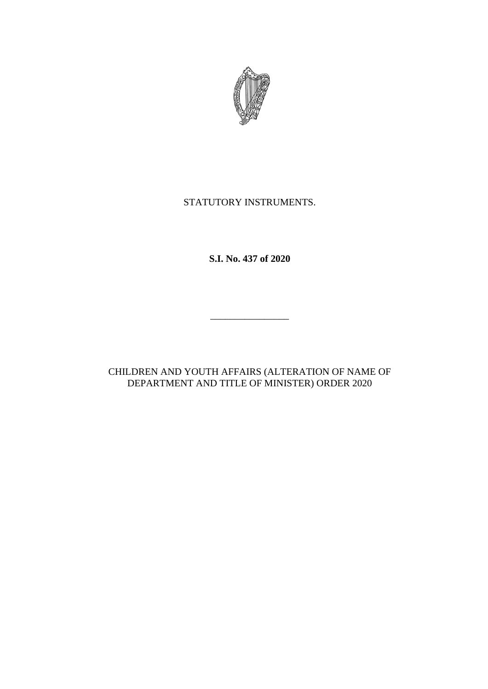

## STATUTORY INSTRUMENTS.

**S.I. No. 437 of 2020**

CHILDREN AND YOUTH AFFAIRS (ALTERATION OF NAME OF DEPARTMENT AND TITLE OF MINISTER) ORDER 2020

\_\_\_\_\_\_\_\_\_\_\_\_\_\_\_\_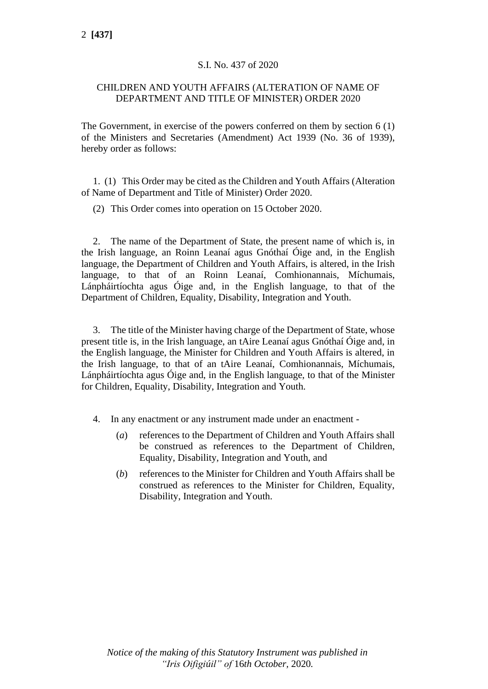## S.I. No. 437 of 2020

## CHILDREN AND YOUTH AFFAIRS (ALTERATION OF NAME OF DEPARTMENT AND TITLE OF MINISTER) ORDER 2020

The Government, in exercise of the powers conferred on them by section 6 (1) of the Ministers and Secretaries (Amendment) Act 1939 (No. 36 of 1939), hereby order as follows:

1. (1) This Order may be cited as the Children and Youth Affairs (Alteration of Name of Department and Title of Minister) Order 2020.

(2) This Order comes into operation on 15 October 2020.

2. The name of the Department of State, the present name of which is, in the Irish language, an Roinn Leanaí agus Gnóthaí Óige and, in the English language, the Department of Children and Youth Affairs, is altered, in the Irish language, to that of an Roinn Leanaí, Comhionannais, Míchumais, Lánpháirtíochta agus Óige and, in the English language, to that of the Department of Children, Equality, Disability, Integration and Youth.

3. The title of the Minister having charge of the Department of State, whose present title is, in the Irish language, an tAire Leanaí agus Gnóthaí Óige and, in the English language, the Minister for Children and Youth Affairs is altered, in the Irish language, to that of an tAire Leanaí, Comhionannais, Míchumais, Lánpháirtíochta agus Óige and, in the English language, to that of the Minister for Children, Equality, Disability, Integration and Youth.

- 4. In any enactment or any instrument made under an enactment
	- (*a*) references to the Department of Children and Youth Affairs shall be construed as references to the Department of Children, Equality, Disability, Integration and Youth, and
	- (*b*) references to the Minister for Children and Youth Affairs shall be construed as references to the Minister for Children, Equality, Disability, Integration and Youth.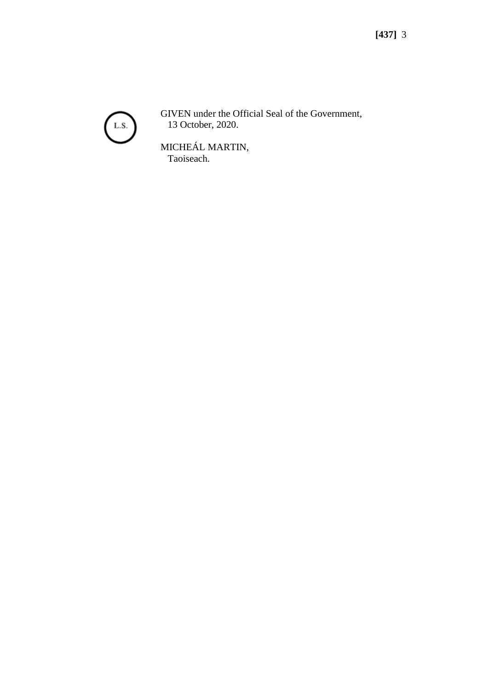

GIVEN under the Official Seal of the Government, 13 October, 2020.

MICHEÁL MARTIN, Taoiseach.